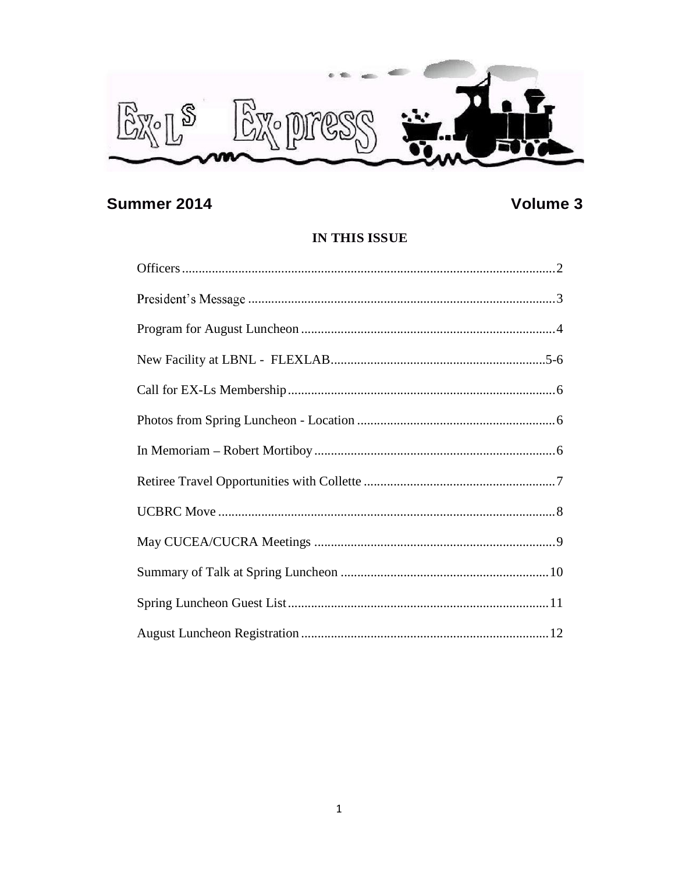

### **Summer 2014**

### Volume 3

### IN THIS ISSUE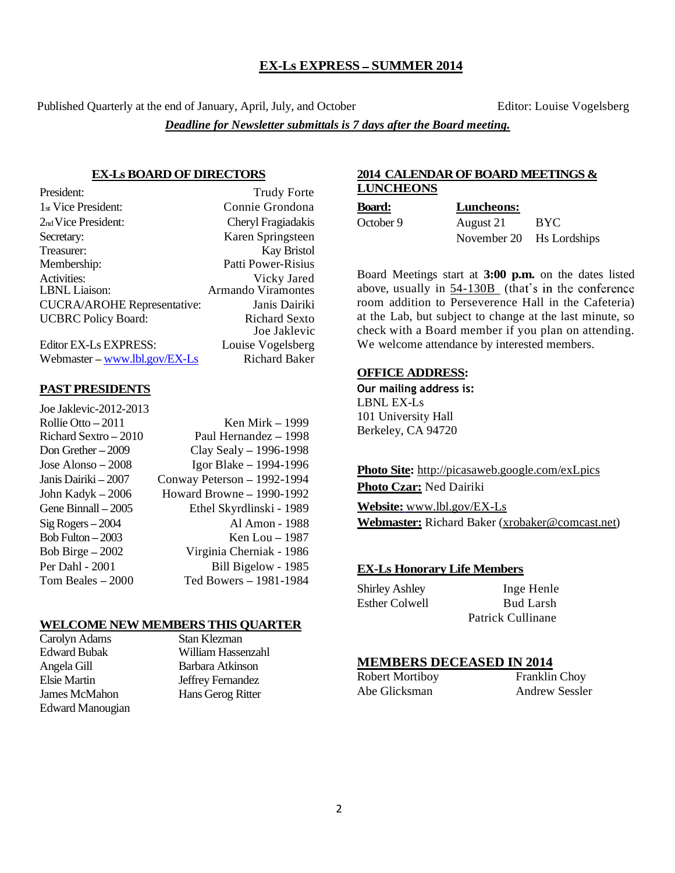### **EX-Ls EXPRESS - SUMMER 2014**

Published Quarterly at the end of January, April, July, and October Editor: Louise Vogelsberg

*Deadline for Newsletter submittals is 7 days after the Board meeting.*

### **EX-Ls BOARD OF DIRECTORS**

| President:                         | <b>Trudy Forte</b>   |
|------------------------------------|----------------------|
| 1 <sub>st</sub> Vice President:    | Connie Grondona      |
| 2 <sub>nd</sub> Vice President:    | Cheryl Fragiadakis   |
| Secretary:                         | Karen Springsteen    |
| Treasurer:                         | <b>Kay Bristol</b>   |
| Membership:                        | Patti Power-Risius   |
| Activities:                        | Vicky Jared          |
| <b>LBNL</b> Liaison:               | Armando Viramontes   |
| <b>CUCRA/AROHE Representative:</b> | Janis Dairiki        |
| <b>UCBRC</b> Policy Board:         | <b>Richard Sexto</b> |
|                                    | Joe Jaklevic         |
| Editor EX-Ls EXPRESS:              | Louise Vogelsberg    |

Webmaster – www.lbl.gov/EX-Ls Richard Baker

### **PAST PRESIDENTS**

| Joe Jaklevic-2012-2013 |                             |
|------------------------|-----------------------------|
| Rollie Otto $-2011$    | Ken Mirk - 1999             |
| Richard Sextro $-2010$ | Paul Hernandez - 1998       |
| Don Grether $-2009$    | Clay Sealy $-$ 1996-1998    |
| Jose Alonso $-2008$    | Igor Blake $-$ 1994-1996    |
| Janis Dairiki – 2007   | Conway Peterson - 1992-1994 |
| John Kadyk $-2006$     | Howard Browne $-$ 1990-1992 |
| Gene Binnall $-2005$   | Ethel Skyrdlinski - 1989    |
| $Sig Rogers - 2004$    | Al Amon - 1988              |
| Bob Fulton $-2003$     | Ken Lou $-1987$             |
| Bob Birge $-2002$      | Virginia Cherniak - 1986    |
| Per Dahl - 2001        | Bill Bigelow - 1985         |
| Tom Beales $-2000$     | Ted Bowers - 1981-1984      |

### **WELCOME NEW MEMBERS THIS QUARTER**<br>Carolyn Adams Stan Klezman

Carolyn Adams Edward Bubak William Hassenzahl Angela Gill Barbara Atkinson James McMahon Hans Gerog Ritter Edward Manougian

Jeffrey Fernandez

### **2014 CALENDAR OF BOARD MEETINGS & LUNCHEONS**

**Board: Luncheons:**

October 9 August 21 BYC November 20 Hs Lordships

Board Meetings start at **3:00 p.m.** on the dates listed above, usually in 54-130B (that's in the conference room addition to Perseverence Hall in the Cafeteria) at the Lab, but subject to change at the last minute, so check with a Board member if you plan on attending. We welcome attendance by interested members.

### **OFFICE ADDRESS:**

Our mailing address is: LBNL EX-Ls 101 University Hall Berkeley, CA 94720

**Photo Site:** http://picasaweb.google.com/exLpics **Photo Czar:** Ned Dairiki

**Website:** www.lbl.gov/EX-Ls **Webmaster:** Richard Baker (xrobaker@comcast.net)

### **EX-Ls Honorary Life Members**

| <b>Shirley Ashley</b> | Inge Henle        |
|-----------------------|-------------------|
| <b>Esther Colwell</b> | <b>Bud Larsh</b>  |
|                       | Patrick Cullinane |

### **MEMBERS DECEASED IN 2014**

Abe Glicksman Andrew Sessler

Robert Mortiboy Franklin Choy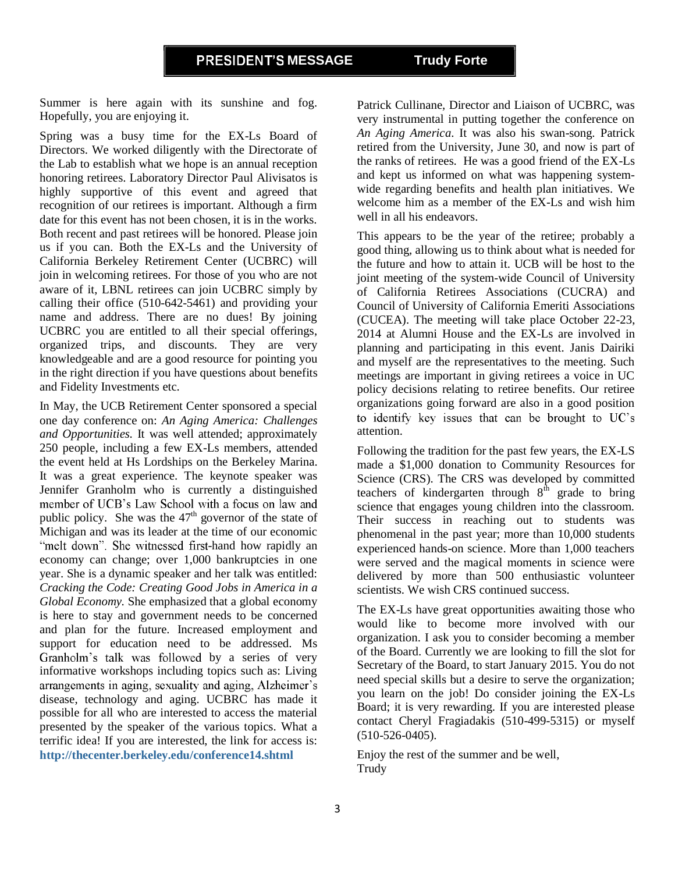### **PRESIDENT'S MESSAGE Trudy Forte**

Summer is here again with its sunshine and fog. Hopefully, you are enjoying it.

Spring was a busy time for the EX-Ls Board of Directors. We worked diligently with the Directorate of the Lab to establish what we hope is an annual reception honoring retirees. Laboratory Director Paul Alivisatos is highly supportive of this event and agreed that recognition of our retirees is important. Although a firm date for this event has not been chosen, it is in the works. Both recent and past retirees will be honored. Please join us if you can. Both the EX-Ls and the University of California Berkeley Retirement Center (UCBRC) will join in welcoming retirees. For those of you who are not aware of it, LBNL retirees can join UCBRC simply by calling their office (510-642-5461) and providing your name and address. There are no dues! By joining UCBRC you are entitled to all their special offerings, organized trips, and discounts. They are very knowledgeable and are a good resource for pointing you in the right direction if you have questions about benefits and Fidelity Investments etc.

In May, the UCB Retirement Center sponsored a special one day conference on: *An Aging America: Challenges and Opportunities.* It was well attended; approximately 250 people, including a few EX-Ls members, attended the event held at Hs Lordships on the Berkeley Marina. It was a great experience. The keynote speaker was Jennifer Granholm who is currently a distinguished member of UCB's Law School with a focus on law and public policy. She was the  $47<sup>th</sup>$  governor of the state of Michigan and was its leader at the time of our economic "melt down". She witnessed first-hand how rapidly an economy can change; over 1,000 bankruptcies in one year. She is a dynamic speaker and her talk was entitled: *Cracking the Code: Creating Good Jobs in America in a Global Economy.* She emphasized that a global economy is here to stay and government needs to be concerned and plan for the future. Increased employment and support for education need to be addressed. Ms Granholm's talk was followed by a series of very informative workshops including topics such as: Living arrangements in aging, sexuality and aging, Alzheimer's disease, technology and aging. UCBRC has made it possible for all who are interested to access the material presented by the speaker of the various topics. What a terrific idea! If you are interested, the link for access is: **http://thecenter.berkeley.edu/conference14.shtml**

Patrick Cullinane, Director and Liaison of UCBRC, was very instrumental in putting together the conference on *An Aging America*. It was also his swan-song. Patrick retired from the University, June 30, and now is part of the ranks of retirees. He was a good friend of the EX-Ls and kept us informed on what was happening systemwide regarding benefits and health plan initiatives. We welcome him as a member of the EX-Ls and wish him well in all his endeavors.

This appears to be the year of the retiree; probably a good thing, allowing us to think about what is needed for the future and how to attain it. UCB will be host to the joint meeting of the system-wide Council of University of California Retirees Associations (CUCRA) and Council of University of California Emeriti Associations (CUCEA). The meeting will take place October 22-23, 2014 at Alumni House and the EX-Ls are involved in planning and participating in this event. Janis Dairiki and myself are the representatives to the meeting. Such meetings are important in giving retirees a voice in UC policy decisions relating to retiree benefits. Our retiree organizations going forward are also in a good position to identify key issues that can be brought to UC's attention.

Following the tradition for the past few years, the EX-LS made a \$1,000 donation to Community Resources for Science (CRS). The CRS was developed by committed teachers of kindergarten through  $8<sup>th</sup>$  grade to bring science that engages young children into the classroom. Their success in reaching out to students was phenomenal in the past year; more than 10,000 students experienced hands-on science. More than 1,000 teachers were served and the magical moments in science were delivered by more than 500 enthusiastic volunteer scientists. We wish CRS continued success.

The EX-Ls have great opportunities awaiting those who would like to become more involved with our organization. I ask you to consider becoming a member of the Board. Currently we are looking to fill the slot for Secretary of the Board, to start January 2015. You do not need special skills but a desire to serve the organization; you learn on the job! Do consider joining the EX-Ls Board; it is very rewarding. If you are interested please contact Cheryl Fragiadakis (510-499-5315) or myself (510-526-0405).

Enjoy the rest of the summer and be well, Trudy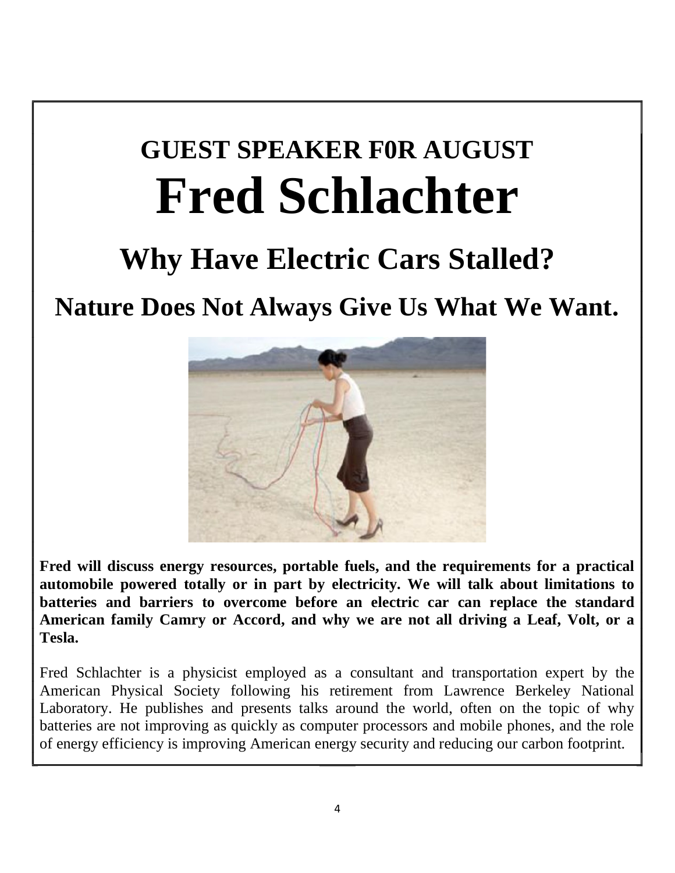# **GUEST SPEAKER F0R AUGUST Fred Schlachter**

## **Why Have Electric Cars Stalled?**

### **Nature Does Not Always Give Us What We Want.**



**Fred will discuss energy resources, portable fuels, and the requirements for a practical automobile powered totally or in part by electricity. We will talk about limitations to batteries and barriers to overcome before an electric car can replace the standard American family Camry or Accord, and why we are not all driving a Leaf, Volt, or a Tesla.** 

Fred Schlachter is a physicist employed as a consultant and transportation expert by the American Physical Society following his retirement from Lawrence Berkeley National Laboratory. He publishes and presents talks around the world, often on the topic of why batteries are not improving as quickly as computer processors and mobile phones, and the role of energy efficiency is improving American energy security and reducing our carbon footprint.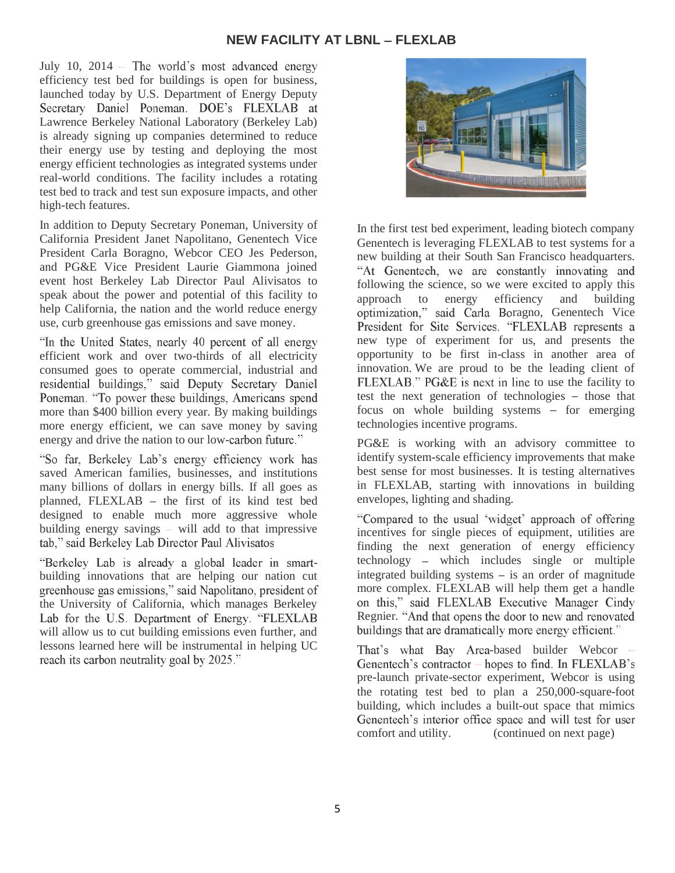July 10, 2014 – The world's most advanced energy efficiency test bed for buildings is open for business, launched today by U.S. Department of Energy Deputy Secretary Daniel Poneman. DOE's FLEXLAB at Lawrence Berkeley National Laboratory (Berkeley Lab) is already signing up companies determined to reduce their energy use by testing and deploying the most energy efficient technologies as integrated systems under real-world conditions. The facility includes a rotating test bed to track and test sun exposure impacts, and other high-tech features.

In addition to Deputy Secretary Poneman, University of California President Janet Napolitano, Genentech Vice President Carla Boragno, Webcor CEO Jes Pederson, and PG&E Vice President Laurie Giammona joined event host Berkeley Lab Director Paul Alivisatos to speak about the power and potential of this facility to help California, the nation and the world reduce energy use, curb greenhouse gas emissions and save money.

"In the United States, nearly 40 percent of all energy efficient work and over two-thirds of all electricity consumed goes to operate commercial, industrial and residential buildings," said Deputy Secretary Daniel Poneman. "To power these buildings, Americans spend more than \$400 billion every year. By making buildings more energy efficient, we can save money by saving energy and drive the nation to our low-carbon future."

"So far, Berkeley Lab's energy efficiency work has saved American families, businesses, and institutions many billions of dollars in energy bills. If all goes as planned, FLEXLAB - the first of its kind test bed designed to enable much more aggressive whole building energy savings  $-$  will add to that impressive tab," said Berkeley Lab Director Paul Alivisatos

"Berkeley Lab is already a global leader in smartbuilding innovations that are helping our nation cut greenhouse gas emissions," said Napolitano, president of the University of California, which manages Berkeley Lab for the U.S. Department of Energy. "FLEXLAB will allow us to cut building emissions even further, and lessons learned here will be instrumental in helping UC reach its carbon neutrality goal by 2025."



In the first test bed experiment, leading biotech company Genentech is leveraging FLEXLAB to test systems for a new building at their South San Francisco headquarters. "At Genentech, we are constantly innovating and following the science, so we were excited to apply this approach to energy efficiency and building optimization," said Carla Boragno, Genentech Vice President for Site Services. "FLEXLAB represents a new type of experiment for us, and presents the opportunity to be first in-class in another area of innovation. We are proud to be the leading client of FLEXLAB." PG&E is next in line to use the facility to test the next generation of technologies  $-$  those that focus on whole building systems  $-$  for emerging technologies incentive programs.

PG&E is working with an advisory committee to identify system-scale efficiency improvements that make best sense for most businesses. It is testing alternatives in FLEXLAB, starting with innovations in building envelopes, lighting and shading.

"Compared to the usual 'widget' approach of offering incentives for single pieces of equipment, utilities are finding the next generation of energy efficiency  $technology - which includes single or multiple$ integrated building systems  $-$  is an order of magnitude more complex. FLEXLAB will help them get a handle on this," said FLEXLAB Executive Manager Cindy Regnier. "And that opens the door to new and renovated buildings that are dramatically more energy efficient."

That's what Bay Area-based builder Webcor Genentech's contractor – hopes to find. In FLEXLAB's pre-launch private-sector experiment, Webcor is using the rotating test bed to plan a 250,000-square-foot building, which includes a built-out space that mimics Genentech's interior office space and will test for user comfort and utility. (continued on next page)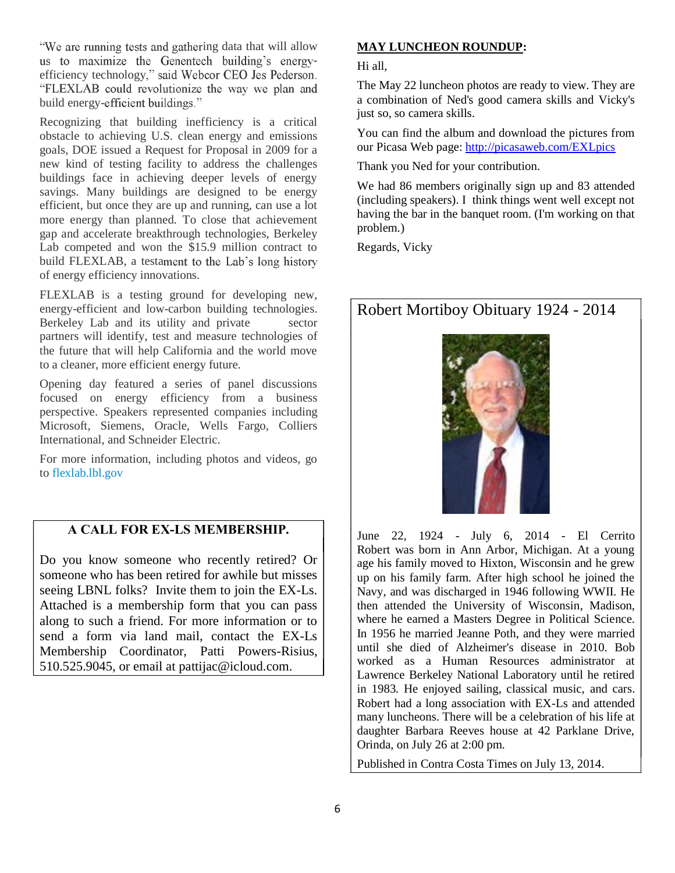"We are running tests and gathering data that will allow us to maximize the Genentech building's energyefficiency technology," said Webcor CEO Jes Pederson. "FLEXLAB could revolutionize the way we plan and build energy-efficient buildings."

Recognizing that building inefficiency is a critical obstacle to achieving U.S. clean energy and emissions goals, DOE issued a Request for Proposal in 2009 for a new kind of testing facility to address the challenges buildings face in achieving deeper levels of energy savings. Many buildings are designed to be energy efficient, but once they are up and running, can use a lot more energy than planned. To close that achievement gap and accelerate breakthrough technologies, Berkeley Lab competed and won the \$15.9 million contract to build FLEXLAB, a testament to the Lab's long history of energy efficiency innovations.

FLEXLAB is a testing ground for developing new, energy-efficient and low-carbon building technologies. Berkeley Lab and its utility and private sector partners will identify, test and measure technologies of the future that will help California and the world move to a cleaner, more efficient energy future.

Opening day featured a series of panel discussions focused on energy efficiency from a business perspective. Speakers represented companies including Microsoft, Siemens, Oracle, Wells Fargo, Colliers International, and Schneider Electric.

For more information, including photos and videos, go to flexlab.lbl.gov

### A CALL FOR EX-LS MEMBERSHIP.

Do you know someone who recently retired? Or someone who has been retired for awhile but misses seeing LBNL folks? Invite them to join the EX-Ls. Attached is a membership form that you can pass along to such a friend. For more information or to send a form via land mail, contact the EX-Ls Membership Coordinator, Patti Powers-Risius, 510.525.9045, or email at pattijac@icloud.com.

### **MAY LUNCHEON ROUNDUP:**

Hi all,

The May 22 luncheon photos are ready to view. They are a combination of Ned's good camera skills and Vicky's just so, so camera skills.

You can find the album and download the pictures from our Picasa Web page: http://picasaweb.com/EXLpics

Thank you Ned for your contribution.

We had 86 members originally sign up and 83 attended (including speakers). I think things went well except not having the bar in the banquet room. (I'm working on that problem.)

Regards, Vicky

### Robert Mortiboy Obituary 1924 - 2014



June 22, 1924 - July 6, 2014 - El Cerrito Robert was born in Ann Arbor, Michigan. At a young age his family moved to Hixton, Wisconsin and he grew up on his family farm. After high school he joined the Navy, and was discharged in 1946 following WWII. He then attended the University of Wisconsin, Madison, where he earned a Masters Degree in Political Science. In 1956 he married Jeanne Poth, and they were married until she died of Alzheimer's disease in 2010. Bob worked as a Human Resources administrator at Lawrence Berkeley National Laboratory until he retired in 1983. He enjoyed sailing, classical music, and cars. Robert had a long association with EX-Ls and attended many luncheons. There will be a celebration of his life at daughter Barbara Reeves house at 42 Parklane Drive, Orinda, on July 26 at 2:00 pm.

Published in Contra Costa Times on July 13, 2014.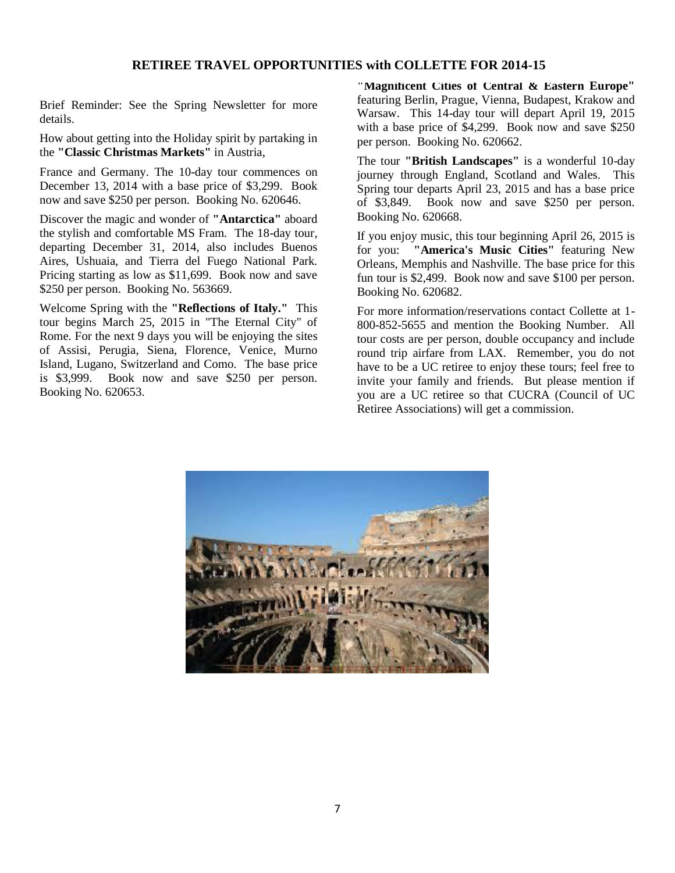### **RETIREE TRAVEL OPPORTUNITIES with COLLETTE FOR 2014-15**

Brief Reminder: See the Spring Newsletter for more details.

How about getting into the Holiday spirit by partaking in the **"Classic Christmas Markets"** in Austria,

France and Germany. The 10-day tour commences on December 13, 2014 with a base price of \$3,299. Book now and save \$250 per person. Booking No. 620646.

Discover the magic and wonder of **"Antarctica"** aboard the stylish and comfortable MS Fram. The 18-day tour, departing December 31, 2014, also includes Buenos Aires, Ushuaia, and Tierra del Fuego National Park. Pricing starting as low as \$11,699. Book now and save \$250 per person. Booking No. 563669.

Welcome Spring with the **"Reflections of Italy."** This tour begins March 25, 2015 in "The Eternal City" of Rome. For the next 9 days you will be enjoying the sites of Assisi, Perugia, Siena, Florence, Venice, Murno Island, Lugano, Switzerland and Como. The base price is \$3,999. Book now and save \$250 per person. Booking No. 620653.

**"Magnificent Cities of Central & Eastern Europe"** featuring Berlin, Prague, Vienna, Budapest, Krakow and Warsaw. This 14-day tour will depart April 19, 2015 with a base price of \$4,299. Book now and save \$250 per person. Booking No. 620662.

The tour **"British Landscapes"** is a wonderful 10-day journey through England, Scotland and Wales. This Spring tour departs April 23, 2015 and has a base price of \$3,849. Book now and save \$250 per person. Booking No. 620668.

If you enjoy music, this tour beginning April 26, 2015 is for you: **"America's Music Cities"** featuring New Orleans, Memphis and Nashville. The base price for this fun tour is \$2,499. Book now and save \$100 per person. Booking No. 620682.

For more information/reservations contact Collette at 1- 800-852-5655 and mention the Booking Number. All tour costs are per person, double occupancy and include round trip airfare from LAX. Remember, you do not have to be a UC retiree to enjoy these tours; feel free to invite your family and friends. But please mention if you are a UC retiree so that CUCRA (Council of UC Retiree Associations) will get a commission.

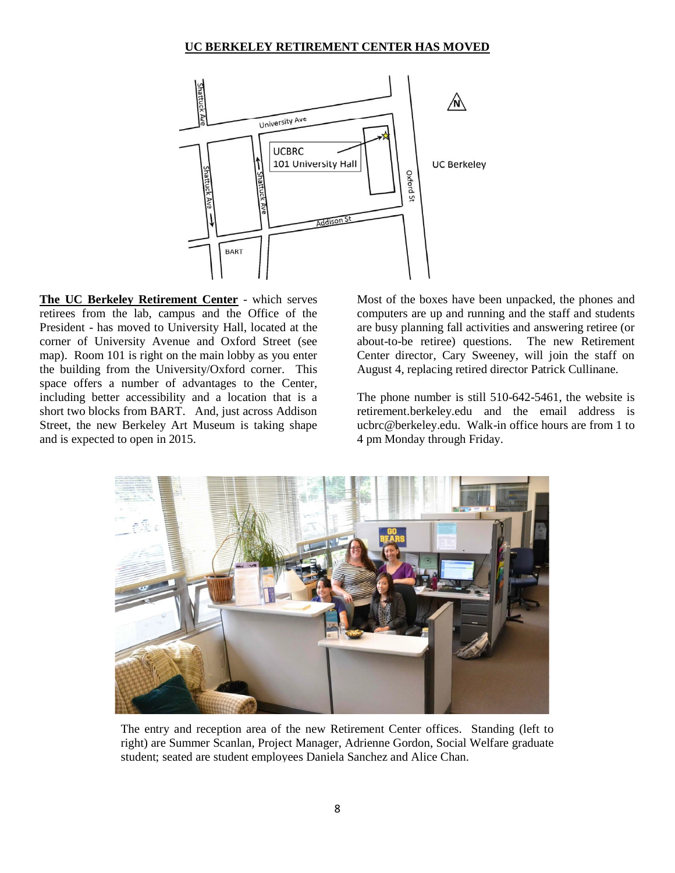### **UC BERKELEY RETIREMENT CENTER HAS MOVED**



**The UC Berkeley Retirement Center** - which serves retirees from the lab, campus and the Office of the President - has moved to University Hall, located at the corner of University Avenue and Oxford Street (see map). Room 101 is right on the main lobby as you enter the building from the University/Oxford corner. This space offers a number of advantages to the Center, including better accessibility and a location that is a short two blocks from BART. And, just across Addison Street, the new Berkeley Art Museum is taking shape and is expected to open in 2015.

Most of the boxes have been unpacked, the phones and computers are up and running and the staff and students are busy planning fall activities and answering retiree (or about-to-be retiree) questions. The new Retirement Center director, Cary Sweeney, will join the staff on August 4, replacing retired director Patrick Cullinane.

The phone number is still 510-642-5461, the website is retirement.berkeley.edu and the email address is ucbrc@berkeley.edu. Walk-in office hours are from 1 to 4 pm Monday through Friday.



The entry and reception area of the new Retirement Center offices. Standing (left to right) are Summer Scanlan, Project Manager, Adrienne Gordon, Social Welfare graduate student; seated are student employees Daniela Sanchez and Alice Chan.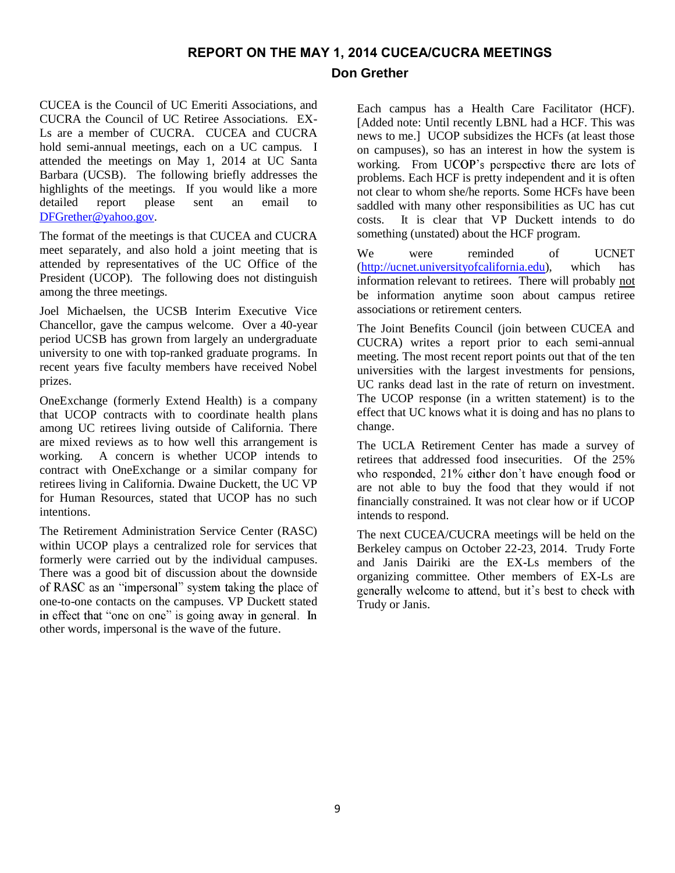### REPORT ON THE MAY 1, 2014 CUCEA/CUCRA MEETINGS

### **Don Grether**

CUCEA is the Council of UC Emeriti Associations, and CUCRA the Council of UC Retiree Associations. EX-Ls are a member of CUCRA. CUCEA and CUCRA hold semi-annual meetings, each on a UC campus. I attended the meetings on May 1, 2014 at UC Santa Barbara (UCSB). The following briefly addresses the highlights of the meetings. If you would like a more detailed report please sent an email to DFGrether@yahoo.gov.

The format of the meetings is that CUCEA and CUCRA meet separately, and also hold a joint meeting that is attended by representatives of the UC Office of the President (UCOP). The following does not distinguish among the three meetings.

Joel Michaelsen, the UCSB Interim Executive Vice Chancellor, gave the campus welcome. Over a 40-year period UCSB has grown from largely an undergraduate university to one with top-ranked graduate programs. In recent years five faculty members have received Nobel prizes.

OneExchange (formerly Extend Health) is a company that UCOP contracts with to coordinate health plans among UC retirees living outside of California. There are mixed reviews as to how well this arrangement is working. A concern is whether UCOP intends to contract with OneExchange or a similar company for retirees living in California. Dwaine Duckett, the UC VP for Human Resources, stated that UCOP has no such intentions.

The Retirement Administration Service Center (RASC) within UCOP plays a centralized role for services that formerly were carried out by the individual campuses. There was a good bit of discussion about the downside of RASC as an "impersonal" system taking the place of one-to-one contacts on the campuses. VP Duckett stated in effect that "one on one" is going away in general. In other words, impersonal is the wave of the future.

Each campus has a Health Care Facilitator (HCF). [Added note: Until recently LBNL had a HCF. This was news to me.] UCOP subsidizes the HCFs (at least those on campuses), so has an interest in how the system is working. From UCOP's perspective there are lots of problems. Each HCF is pretty independent and it is often not clear to whom she/he reports. Some HCFs have been saddled with many other responsibilities as UC has cut costs. It is clear that VP Duckett intends to do something (unstated) about the HCF program.

We were reminded of UCNET (http://ucnet.universityofcalifornia.edu), which has information relevant to retirees. There will probably not be information anytime soon about campus retiree associations or retirement centers.

The Joint Benefits Council (join between CUCEA and CUCRA) writes a report prior to each semi-annual meeting. The most recent report points out that of the ten universities with the largest investments for pensions, UC ranks dead last in the rate of return on investment. The UCOP response (in a written statement) is to the effect that UC knows what it is doing and has no plans to change.

The UCLA Retirement Center has made a survey of retirees that addressed food insecurities. Of the 25% who responded, 21% either don't have enough food or are not able to buy the food that they would if not financially constrained. It was not clear how or if UCOP intends to respond.

The next CUCEA/CUCRA meetings will be held on the Berkeley campus on October 22-23, 2014. Trudy Forte and Janis Dairiki are the EX-Ls members of the organizing committee. Other members of EX-Ls are generally welcome to attend, but it's best to check with Trudy or Janis.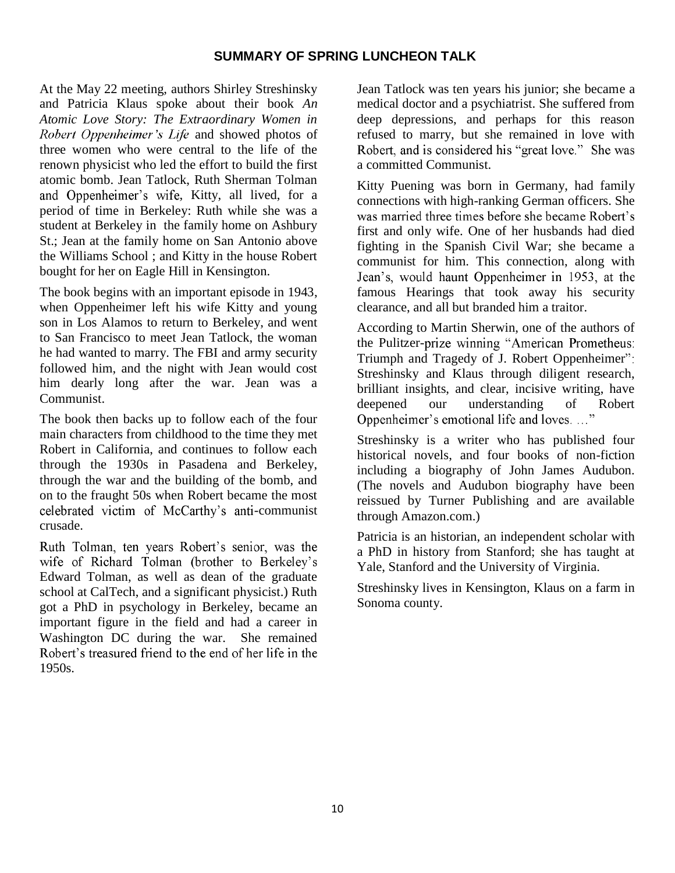### **SUMMARY OF SPRING LUNCHEON TALK**

At the May 22 meeting, authors Shirley Streshinsky and Patricia Klaus spoke about their book *An Atomic Love Story: The Extraordinary Women in*  Robert Oppenheimer's Life and showed photos of three women who were central to the life of the renown physicist who led the effort to build the first atomic bomb. Jean Tatlock, Ruth Sherman Tolman and Oppenheimer's wife, Kitty, all lived, for a period of time in Berkeley: Ruth while she was a student at Berkeley in the family home on Ashbury St.; Jean at the family home on San Antonio above the Williams School ; and Kitty in the house Robert bought for her on Eagle Hill in Kensington.

The book begins with an important episode in 1943, when Oppenheimer left his wife Kitty and young son in Los Alamos to return to Berkeley, and went to San Francisco to meet Jean Tatlock, the woman he had wanted to marry. The FBI and army security followed him, and the night with Jean would cost him dearly long after the war. Jean was a Communist.

The book then backs up to follow each of the four main characters from childhood to the time they met Robert in California, and continues to follow each through the 1930s in Pasadena and Berkeley, through the war and the building of the bomb, and on to the fraught 50s when Robert became the most celebrated victim of McCarthy's anti-communist crusade.

Ruth Tolman, ten years Robert's senior, was the wife of Richard Tolman (brother to Berkeley's Edward Tolman, as well as dean of the graduate school at CalTech, and a significant physicist.) Ruth got a PhD in psychology in Berkeley, became an important figure in the field and had a career in Washington DC during the war. She remained<br>Robert's treasured friend to the end of her life in the 1950s.

Jean Tatlock was ten years his junior; she became a medical doctor and a psychiatrist. She suffered from deep depressions, and perhaps for this reason refused to marry, but she remained in love with<br>Robert, and is considered his "great love." She was a committed Communist.

Kitty Puening was born in Germany, had family connections with high-ranking German officers. She first and only wife. One of her husbands had died fighting in the Spanish Civil War; she became a communist for him. This connection, along with Jean's, would haunt Oppenheimer in 1953, at the famous Hearings that took away his security clearance, and all but branded him a traitor.

According to Martin Sherwin, one of the authors of the Pulitzer-prize winning "American Prometheus: Triumph and Tragedy of J. Robert Oppenheimer": Streshinsky and Klaus through diligent research, brilliant insights, and clear, incisive writing, have deepened our understanding of Robert<br>Oppenheimer's emotional life and loves...."

Streshinsky is a writer who has published four historical novels, and four books of non-fiction including a biography of John James Audubon. (The novels and Audubon biography have been reissued by Turner Publishing and are available through Amazon.com.)

Patricia is an historian, an independent scholar with a PhD in history from Stanford; she has taught at Yale, Stanford and the University of Virginia.

Streshinsky lives in Kensington, Klaus on a farm in Sonoma county.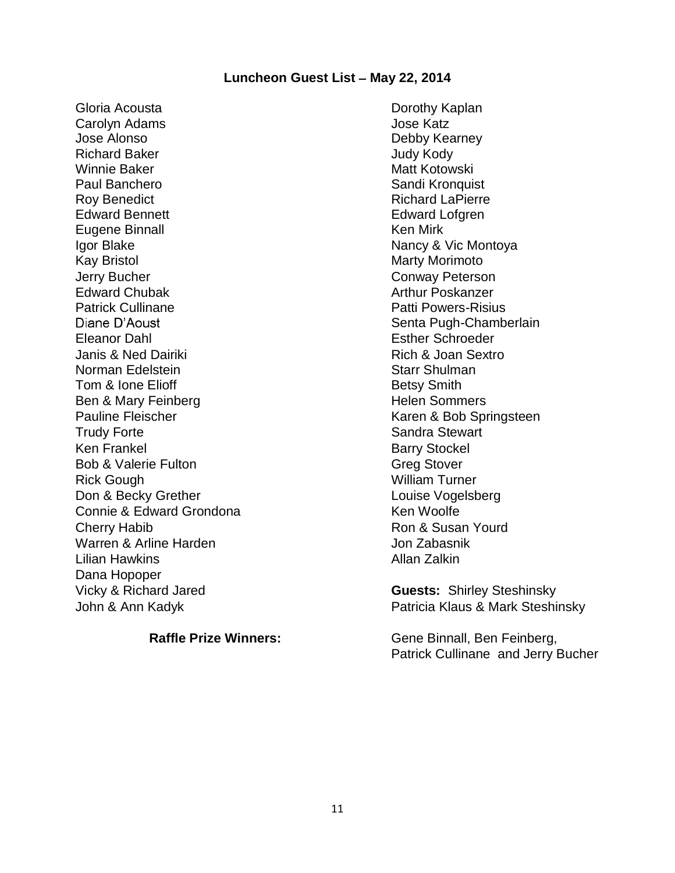### **Luncheon Guest List - May 22, 2014**

Gloria Acousta Carolyn Adams Jose Alonso Richard Baker Judy Kody Winnie Baker Matt Kotowski Paul Banchero **Sandi Kronquist** Sandi Kronquist Roy Benedict **Richard LaPierre** Richard LaPierre Edward Bennett **Edward Lofgren** Eugene Binnall **Ken Mirk** Ken Mirk Igor Blake Nancy & Vic Montoya Kay Bristol **Marty Morimoto** Marty Morimoto **Jerry Bucher Conway Peterson** Edward Chubak Patrick Cullinane Diane D'Aoust Eleanor Dahl Esther Schroeder Janis & Ned Dairiki Norman Edelstein Tom & Ione Elioff Betsy Smith Ben & Mary Feinberg **Helen** Sommers Pauline Fleischer Karen & Bob Springsteen Trudy Forte **Sandra Stewart** Sandra Stewart Ken Frankel Barry Stockel Bob & Valerie Fulton Greg Stover Rick Gough Nilliam Turner **Don & Becky Grether Louise Vogelsberg Contact Serverse Louise Vogelsberg** Connie & Edward Grondona Ken Woolfe Cherry Habib **Ron & Susan Yourd** Ron & Susan Yourd Warren & Arline Harden Voltage and Marren & Arline Harden Lilian Hawkins Allan Zalkin Dana Hopoper Vicky & Richard Jared **Guests:** Shirley Steshinsky

Dorothy Kaplan Jose Katz Debby Kearney Arthur Poskanzer Patti Powers-Risius Senta Pugh-Chamberlain Rich & Joan Sextro Starr Shulman

John & Ann Kadyk **Patricia Klaus & Mark Steshinsky** 

**Raffle Prize Winners:** Gene Binnall, Ben Feinberg, Patrick Cullinane and Jerry Bucher